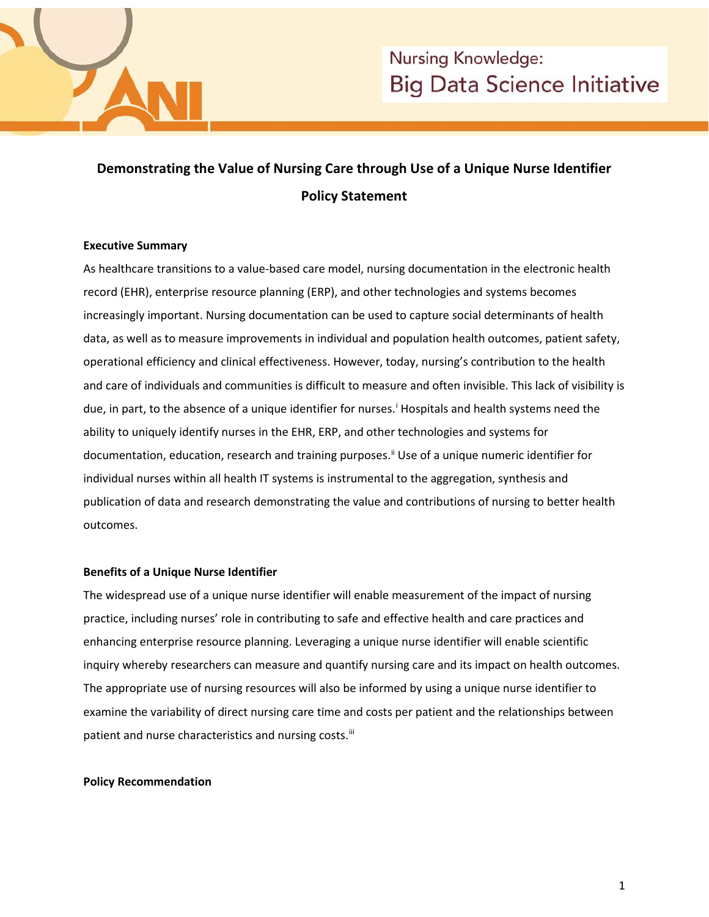

# **Demonstrating the Value of Nursing Care through Use of a Unique Nurse Identifier Policy Statement**

## **Executive Summary**

As healthcare transitions to a value-based care model, nursing documentation in the electronic health record (EHR), enterprise resource planning (ERP), and other technologies and systems becomes increasingly important. Nursing documentation can be used to capture social determinants of health data, as well as to measure improvements in individual and population health outcomes, patient safety, operational efficiency and clinical effectiveness. However, today, nursing's contribution to the health and care of individuals and communities is difficult to measure and often invisible. This lack of visibility is due, [i](#page-2-0)n part, to the absence of a unique identifier for nurses.<sup>1</sup> Hospitals and health systems need the ability to uniquely identify nurses in the EHR, ERP, and other technologies and systems for documentation, education, research and training purposes.[ii](#page-2-1) Use of a unique numeric identifier for individual nurses within all health IT systems is instrumental to the aggregation, synthesis and publication of data and research demonstrating the value and contributions of nursing to better health outcomes.

### **Benefits of a Unique Nurse Identifier**

The widespread use of a unique nurse identifier will enable measurement of the impact of nursing practice, including nurses' role in contributing to safe and effective health and care practices and enhancing enterprise resource planning. Leveraging a unique nurse identifier will enable scientific inquiry whereby researchers can measure and quantify nursing care and its impact on health outcomes. The appropriate use of nursing resources will also be informed by using a unique nurse identifier to examine the variability of direct nursing care time and costs per patient and the relationships between patient and nurse characteristics and nursing costs.<sup>[iii](#page-2-2)</sup>

### **Policy Recommendation**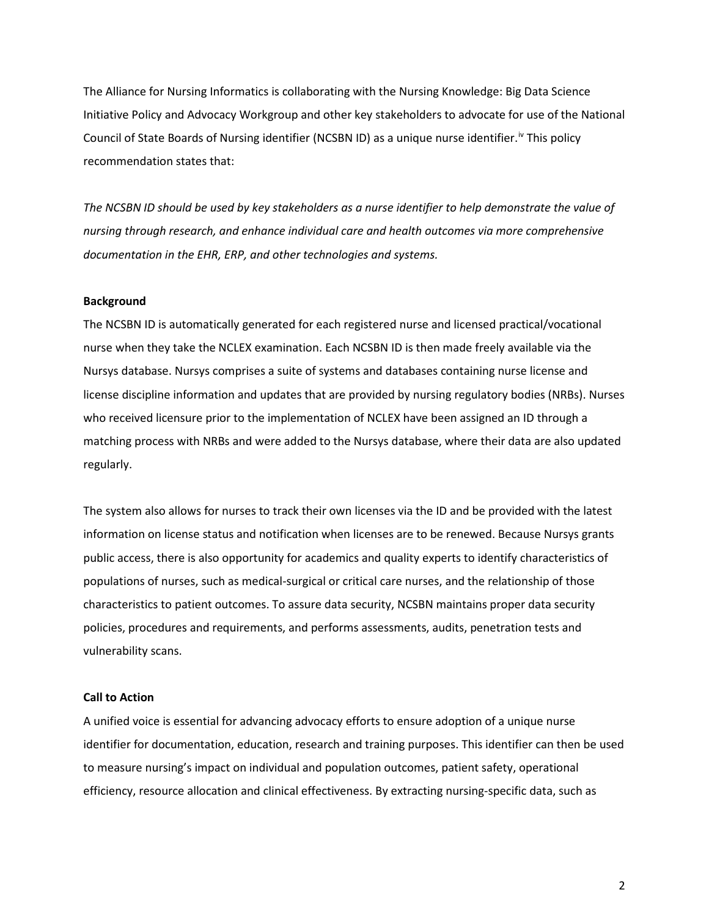The Alliance for Nursing Informatics is collaborating with the Nursing Knowledge: Big Data Science Initiative Policy and Advocacy Workgroup and other key stakeholders to advocate for use of the National Council of State Boards of Nursing identifier (NCSBN ID) as a unique nurse identifier.<sup>[iv](#page-2-3)</sup> This policy recommendation states that:

*The NCSBN ID should be used by key stakeholders as a nurse identifier to help demonstrate the value of nursing through research, and enhance individual care and health outcomes via more comprehensive documentation in the EHR, ERP, and other technologies and systems.*

#### **Background**

The NCSBN ID is automatically generated for each registered nurse and licensed practical/vocational nurse when they take the NCLEX examination. Each NCSBN ID is then made freely available via the Nursys database. Nursys comprises a suite of systems and databases containing nurse license and license discipline information and updates that are provided by nursing regulatory bodies (NRBs). Nurses who received licensure prior to the implementation of NCLEX have been assigned an ID through a matching process with NRBs and were added to the Nursys database, where their data are also updated regularly.

The system also allows for nurses to track their own licenses via the ID and be provided with the latest information on license status and notification when licenses are to be renewed. Because Nursys grants public access, there is also opportunity for academics and quality experts to identify characteristics of populations of nurses, such as medical-surgical or critical care nurses, and the relationship of those characteristics to patient outcomes. To assure data security, NCSBN maintains proper data security policies, procedures and requirements, and performs assessments, audits, penetration tests and vulnerability scans.

#### **Call to Action**

A unified voice is essential for advancing advocacy efforts to ensure adoption of a unique nurse identifier for documentation, education, research and training purposes. This identifier can then be used to measure nursing's impact on individual and population outcomes, patient safety, operational efficiency, resource allocation and clinical effectiveness. By extracting nursing-specific data, such as

2